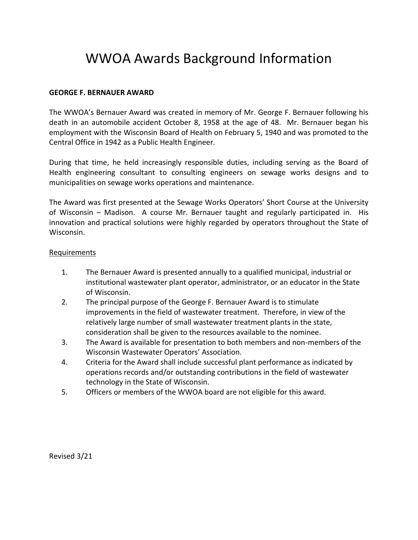# WWOA Awards Background Information

## **GEORGE F. BERNAUER AWARD**

The WWOA's Bernauer Award was created in memory of Mr. George F. Bernauer following his death in an automobile accident October 8, 1958 at the age of 48. Mr. Bernauer began his employment with the Wisconsin Board of Health on February 5, 1940 and was promoted to the Central Office in 1942 as a Public Health Engineer.

During that time, he held increasingly responsible duties, including serving as the Board of Health engineering consultant to consulting engineers on sewage works designs and to municipalities on sewage works operations and maintenance.

The Award was first presented at the Sewage Works Operators' Short Course at the University of Wisconsin – Madison. A course Mr. Bernauer taught and regularly participated in. His innovation and practical solutions were highly regarded by operators throughout the State of Wisconsin.

#### Requirements

- 1. The Bernauer Award is presented annually to a qualified municipal, industrial or institutional wastewater plant operator, administrator, or an educator in the State of Wisconsin.
- 2. The principal purpose of the George F. Bernauer Award is to stimulate improvements in the field of wastewater treatment. Therefore, in view of the relatively large number of small wastewater treatment plants in the state, consideration shall be given to the resources available to the nominee.
- 3. The Award is available for presentation to both members and non-members of the Wisconsin Wastewater Operators' Association.
- 4. Criteria for the Award shall include successful plant performance as indicated by operations records and/or outstanding contributions in the field of wastewater technology in the State of Wisconsin.
- 5. Officers or members of the WWOA board are not eligible for this award.

Revised 3/21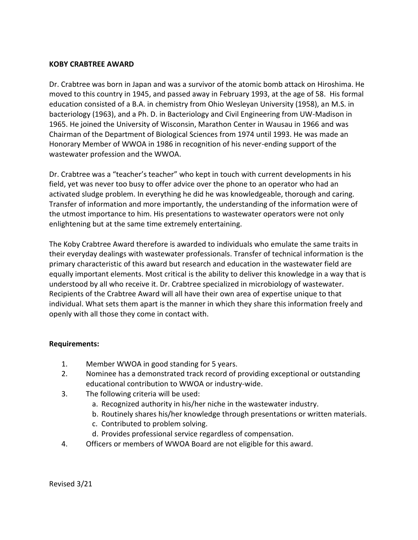#### **KOBY CRABTREE AWARD**

Dr. Crabtree was born in Japan and was a survivor of the atomic bomb attack on Hiroshima. He moved to this country in 1945, and passed away in February 1993, at the age of 58. His formal education consisted of a B.A. in chemistry from Ohio Wesleyan University (1958), an M.S. in bacteriology (1963), and a Ph. D. in Bacteriology and Civil Engineering from UW-Madison in 1965. He joined the University of Wisconsin, Marathon Center in Wausau in 1966 and was Chairman of the Department of Biological Sciences from 1974 until 1993. He was made an Honorary Member of WWOA in 1986 in recognition of his never-ending support of the wastewater profession and the WWOA.

Dr. Crabtree was a "teacher's teacher" who kept in touch with current developments in his field, yet was never too busy to offer advice over the phone to an operator who had an activated sludge problem. In everything he did he was knowledgeable, thorough and caring. Transfer of information and more importantly, the understanding of the information were of the utmost importance to him. His presentations to wastewater operators were not only enlightening but at the same time extremely entertaining.

The Koby Crabtree Award therefore is awarded to individuals who emulate the same traits in their everyday dealings with wastewater professionals. Transfer of technical information is the primary characteristic of this award but research and education in the wastewater field are equally important elements. Most critical is the ability to deliver this knowledge in a way that is understood by all who receive it. Dr. Crabtree specialized in microbiology of wastewater. Recipients of the Crabtree Award will all have their own area of expertise unique to that individual. What sets them apart is the manner in which they share this information freely and openly with all those they come in contact with.

## **Requirements:**

- 1. Member WWOA in good standing for 5 years.
- 2. Nominee has a demonstrated track record of providing exceptional or outstanding educational contribution to WWOA or industry-wide.
- 3. The following criteria will be used:
	- a. Recognized authority in his/her niche in the wastewater industry.
	- b. Routinely shares his/her knowledge through presentations or written materials.
	- c. Contributed to problem solving.
	- d. Provides professional service regardless of compensation.
- 4. Officers or members of WWOA Board are not eligible for this award.

Revised 3/21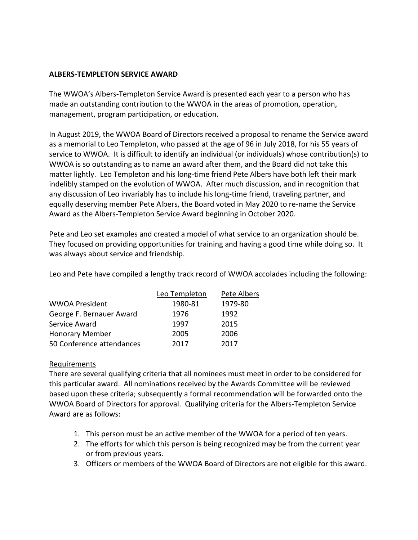### **ALBERS-TEMPLETON SERVICE AWARD**

The WWOA's Albers-Templeton Service Award is presented each year to a person who has made an outstanding contribution to the WWOA in the areas of promotion, operation, management, program participation, or education.

In August 2019, the WWOA Board of Directors received a proposal to rename the Service award as a memorial to Leo Templeton, who passed at the age of 96 in July 2018, for his 55 years of service to WWOA. It is difficult to identify an individual (or individuals) whose contribution(s) to WWOA is so outstanding as to name an award after them, and the Board did not take this matter lightly. Leo Templeton and his long-time friend Pete Albers have both left their mark indelibly stamped on the evolution of WWOA. After much discussion, and in recognition that any discussion of Leo invariably has to include his long-time friend, traveling partner, and equally deserving member Pete Albers, the Board voted in May 2020 to re-name the Service Award as the Albers-Templeton Service Award beginning in October 2020.

Pete and Leo set examples and created a model of what service to an organization should be. They focused on providing opportunities for training and having a good time while doing so. It was always about service and friendship.

Leo and Pete have compiled a lengthy track record of WWOA accolades including the following:

|                           | Leo Templeton | Pete Albers |
|---------------------------|---------------|-------------|
| <b>WWOA President</b>     | 1980-81       | 1979-80     |
| George F. Bernauer Award  | 1976          | 1992        |
| Service Award             | 1997          | 2015        |
| <b>Honorary Member</b>    | 2005          | 2006        |
| 50 Conference attendances | 2017          | 2017        |

## Requirements

There are several qualifying criteria that all nominees must meet in order to be considered for this particular award. All nominations received by the Awards Committee will be reviewed based upon these criteria; subsequently a formal recommendation will be forwarded onto the WWOA Board of Directors for approval. Qualifying criteria for the Albers-Templeton Service Award are as follows:

- 1. This person must be an active member of the WWOA for a period of ten years.
- 2. The efforts for which this person is being recognized may be from the current year or from previous years.
- 3. Officers or members of the WWOA Board of Directors are not eligible for this award.